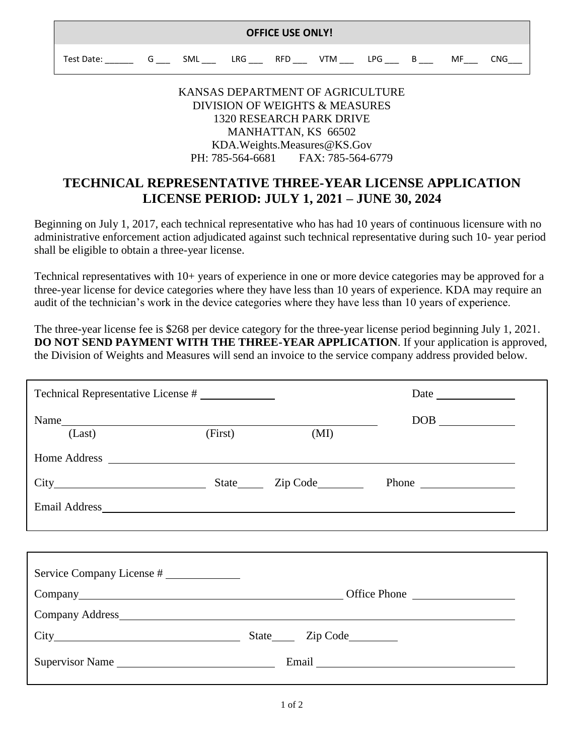| <b>OFFICE USE ONLY!</b> |  |     |      |            |     |     |  |    |     |
|-------------------------|--|-----|------|------------|-----|-----|--|----|-----|
| Test Date:              |  | SML | LRG. | <b>RFD</b> | VTM | PG. |  | MF | CNG |

## KANSAS DEPARTMENT OF AGRICULTURE DIVISION OF WEIGHTS & MEASURES 1320 RESEARCH PARK DRIVE MANHATTAN, KS 66502 KDA.Weights.Measures@KS.Gov PH: 785-564-6681 FAX: 785-564-6779

## **TECHNICAL REPRESENTATIVE THREE-YEAR LICENSE APPLICATION LICENSE PERIOD: JULY 1, 2021 – JUNE 30, 2024**

Beginning on July 1, 2017, each technical representative who has had 10 years of continuous licensure with no administrative enforcement action adjudicated against such technical representative during such 10- year period shall be eligible to obtain a three-year license.

Technical representatives with 10+ years of experience in one or more device categories may be approved for a three-year license for device categories where they have less than 10 years of experience. KDA may require an audit of the technician's work in the device categories where they have less than 10 years of experience.

The three-year license fee is \$268 per device category for the three-year license period beginning July 1, 2021. **DO NOT SEND PAYMENT WITH THE THREE-YEAR APPLICATION**. If your application is approved, the Division of Weights and Measures will send an invoice to the service company address provided below.

| Technical Representative License #           |         |      |  |
|----------------------------------------------|---------|------|--|
| Name<br>(Last)                               | (First) | (MI) |  |
|                                              |         |      |  |
| City Rhone River State City Code Phone Rhone |         |      |  |
|                                              |         |      |  |
|                                              |         |      |  |
| Service Company License #                    |         |      |  |
|                                              |         |      |  |
|                                              |         |      |  |
| City City City Code                          |         |      |  |
| Supervisor Name                              |         |      |  |
|                                              |         |      |  |